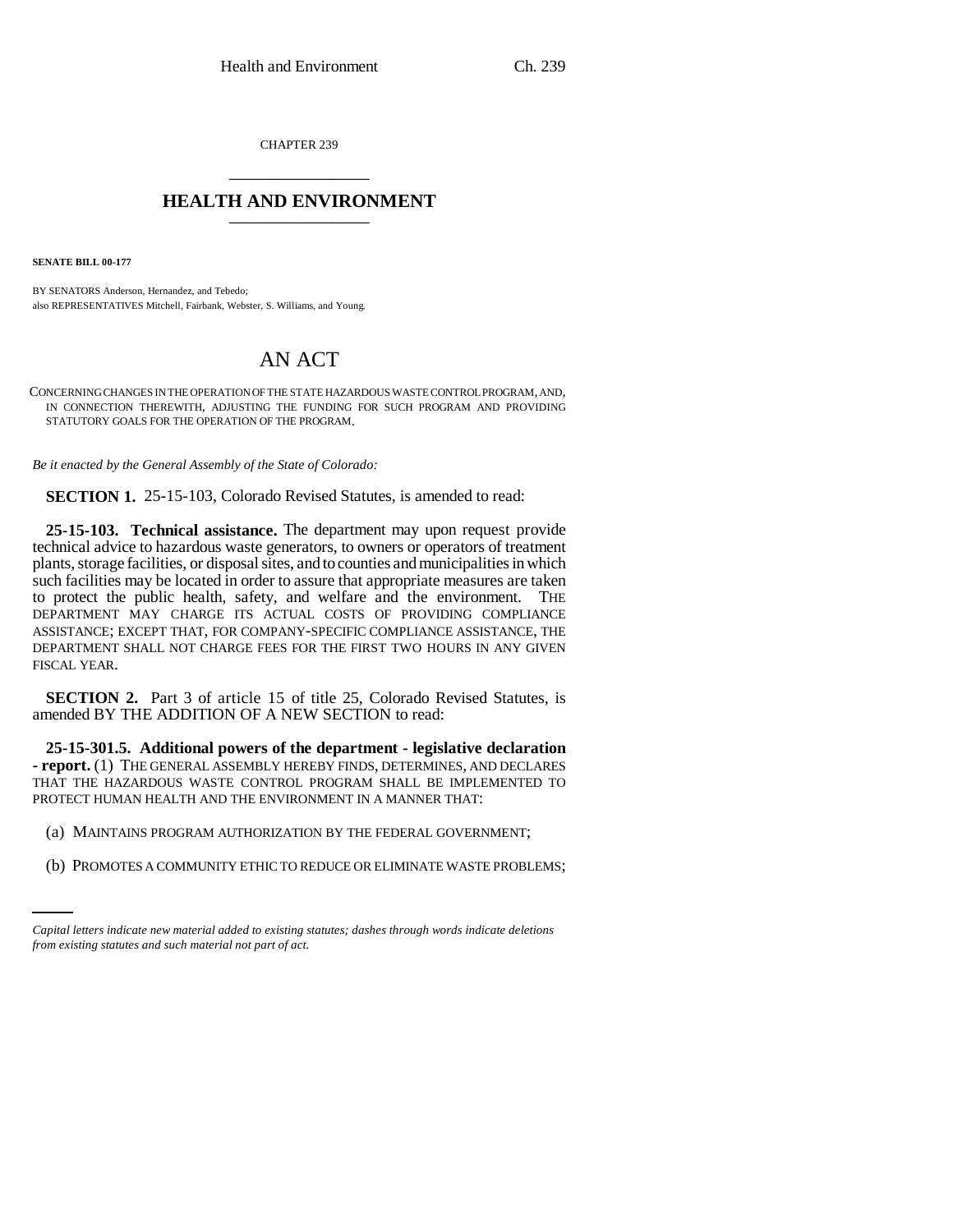CHAPTER 239 \_\_\_\_\_\_\_\_\_\_\_\_\_\_\_

## **HEALTH AND ENVIRONMENT** \_\_\_\_\_\_\_\_\_\_\_\_\_\_\_

**SENATE BILL 00-177** 

BY SENATORS Anderson, Hernandez, and Tebedo; also REPRESENTATIVES Mitchell, Fairbank, Webster, S. Williams, and Young.

## AN ACT

CONCERNING CHANGES IN THE OPERATION OF THE STATE HAZARDOUS WASTE CONTROL PROGRAM, AND, IN CONNECTION THEREWITH, ADJUSTING THE FUNDING FOR SUCH PROGRAM AND PROVIDING STATUTORY GOALS FOR THE OPERATION OF THE PROGRAM.

*Be it enacted by the General Assembly of the State of Colorado:*

**SECTION 1.** 25-15-103, Colorado Revised Statutes, is amended to read:

**25-15-103. Technical assistance.** The department may upon request provide technical advice to hazardous waste generators, to owners or operators of treatment plants, storage facilities, or disposal sites, and to counties and municipalities in which such facilities may be located in order to assure that appropriate measures are taken to protect the public health, safety, and welfare and the environment. THE DEPARTMENT MAY CHARGE ITS ACTUAL COSTS OF PROVIDING COMPLIANCE ASSISTANCE; EXCEPT THAT, FOR COMPANY-SPECIFIC COMPLIANCE ASSISTANCE, THE DEPARTMENT SHALL NOT CHARGE FEES FOR THE FIRST TWO HOURS IN ANY GIVEN FISCAL YEAR.

**SECTION 2.** Part 3 of article 15 of title 25, Colorado Revised Statutes, is amended BY THE ADDITION OF A NEW SECTION to read:

**25-15-301.5. Additional powers of the department - legislative declaration - report.** (1) THE GENERAL ASSEMBLY HEREBY FINDS, DETERMINES, AND DECLARES THAT THE HAZARDOUS WASTE CONTROL PROGRAM SHALL BE IMPLEMENTED TO PROTECT HUMAN HEALTH AND THE ENVIRONMENT IN A MANNER THAT:

- (a) MAINTAINS PROGRAM AUTHORIZATION BY THE FEDERAL GOVERNMENT;
	- (b) PROMOTES A COMMUNITY ETHIC TO REDUCE OR ELIMINATE WASTE PROBLEMS;

*Capital letters indicate new material added to existing statutes; dashes through words indicate deletions from existing statutes and such material not part of act.*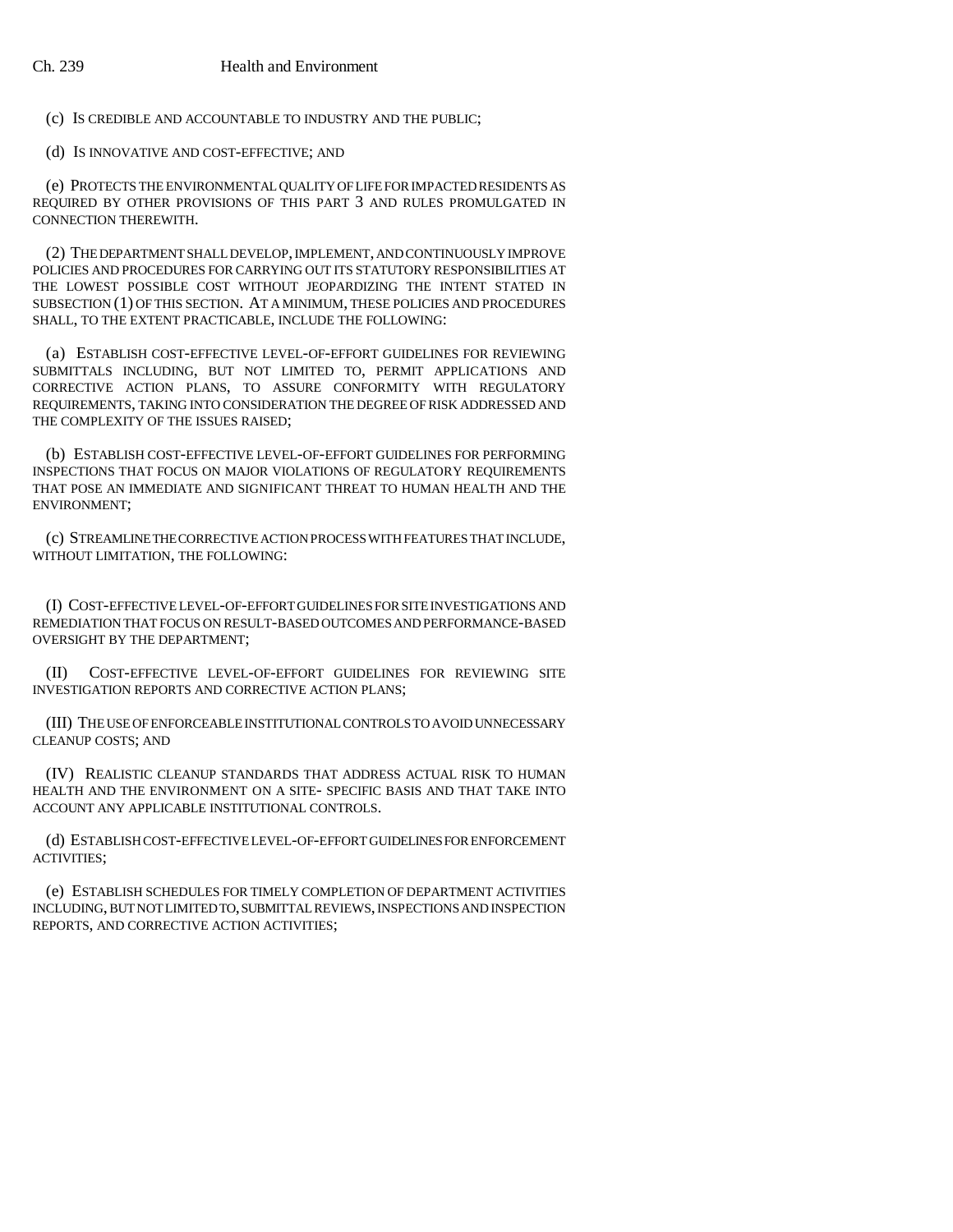(c) IS CREDIBLE AND ACCOUNTABLE TO INDUSTRY AND THE PUBLIC;

(d) IS INNOVATIVE AND COST-EFFECTIVE; AND

(e) PROTECTS THE ENVIRONMENTAL QUALITY OF LIFE FOR IMPACTED RESIDENTS AS REQUIRED BY OTHER PROVISIONS OF THIS PART 3 AND RULES PROMULGATED IN CONNECTION THEREWITH.

(2) THE DEPARTMENT SHALL DEVELOP, IMPLEMENT, AND CONTINUOUSLY IMPROVE POLICIES AND PROCEDURES FOR CARRYING OUT ITS STATUTORY RESPONSIBILITIES AT THE LOWEST POSSIBLE COST WITHOUT JEOPARDIZING THE INTENT STATED IN SUBSECTION (1) OF THIS SECTION. AT A MINIMUM, THESE POLICIES AND PROCEDURES SHALL, TO THE EXTENT PRACTICABLE, INCLUDE THE FOLLOWING:

(a) ESTABLISH COST-EFFECTIVE LEVEL-OF-EFFORT GUIDELINES FOR REVIEWING SUBMITTALS INCLUDING, BUT NOT LIMITED TO, PERMIT APPLICATIONS AND CORRECTIVE ACTION PLANS, TO ASSURE CONFORMITY WITH REGULATORY REQUIREMENTS, TAKING INTO CONSIDERATION THE DEGREE OF RISK ADDRESSED AND THE COMPLEXITY OF THE ISSUES RAISED;

(b) ESTABLISH COST-EFFECTIVE LEVEL-OF-EFFORT GUIDELINES FOR PERFORMING INSPECTIONS THAT FOCUS ON MAJOR VIOLATIONS OF REGULATORY REQUIREMENTS THAT POSE AN IMMEDIATE AND SIGNIFICANT THREAT TO HUMAN HEALTH AND THE ENVIRONMENT;

(c) STREAMLINE THE CORRECTIVE ACTION PROCESS WITH FEATURES THAT INCLUDE, WITHOUT LIMITATION, THE FOLLOWING:

(I) COST-EFFECTIVE LEVEL-OF-EFFORT GUIDELINES FOR SITE INVESTIGATIONS AND REMEDIATION THAT FOCUS ON RESULT-BASED OUTCOMES AND PERFORMANCE-BASED OVERSIGHT BY THE DEPARTMENT;

(II) COST-EFFECTIVE LEVEL-OF-EFFORT GUIDELINES FOR REVIEWING SITE INVESTIGATION REPORTS AND CORRECTIVE ACTION PLANS;

(III) THE USE OF ENFORCEABLE INSTITUTIONAL CONTROLS TO AVOID UNNECESSARY CLEANUP COSTS; AND

(IV) REALISTIC CLEANUP STANDARDS THAT ADDRESS ACTUAL RISK TO HUMAN HEALTH AND THE ENVIRONMENT ON A SITE- SPECIFIC BASIS AND THAT TAKE INTO ACCOUNT ANY APPLICABLE INSTITUTIONAL CONTROLS.

(d) ESTABLISH COST-EFFECTIVE LEVEL-OF-EFFORT GUIDELINES FOR ENFORCEMENT ACTIVITIES;

(e) ESTABLISH SCHEDULES FOR TIMELY COMPLETION OF DEPARTMENT ACTIVITIES INCLUDING, BUT NOT LIMITED TO, SUBMITTAL REVIEWS, INSPECTIONS AND INSPECTION REPORTS, AND CORRECTIVE ACTION ACTIVITIES;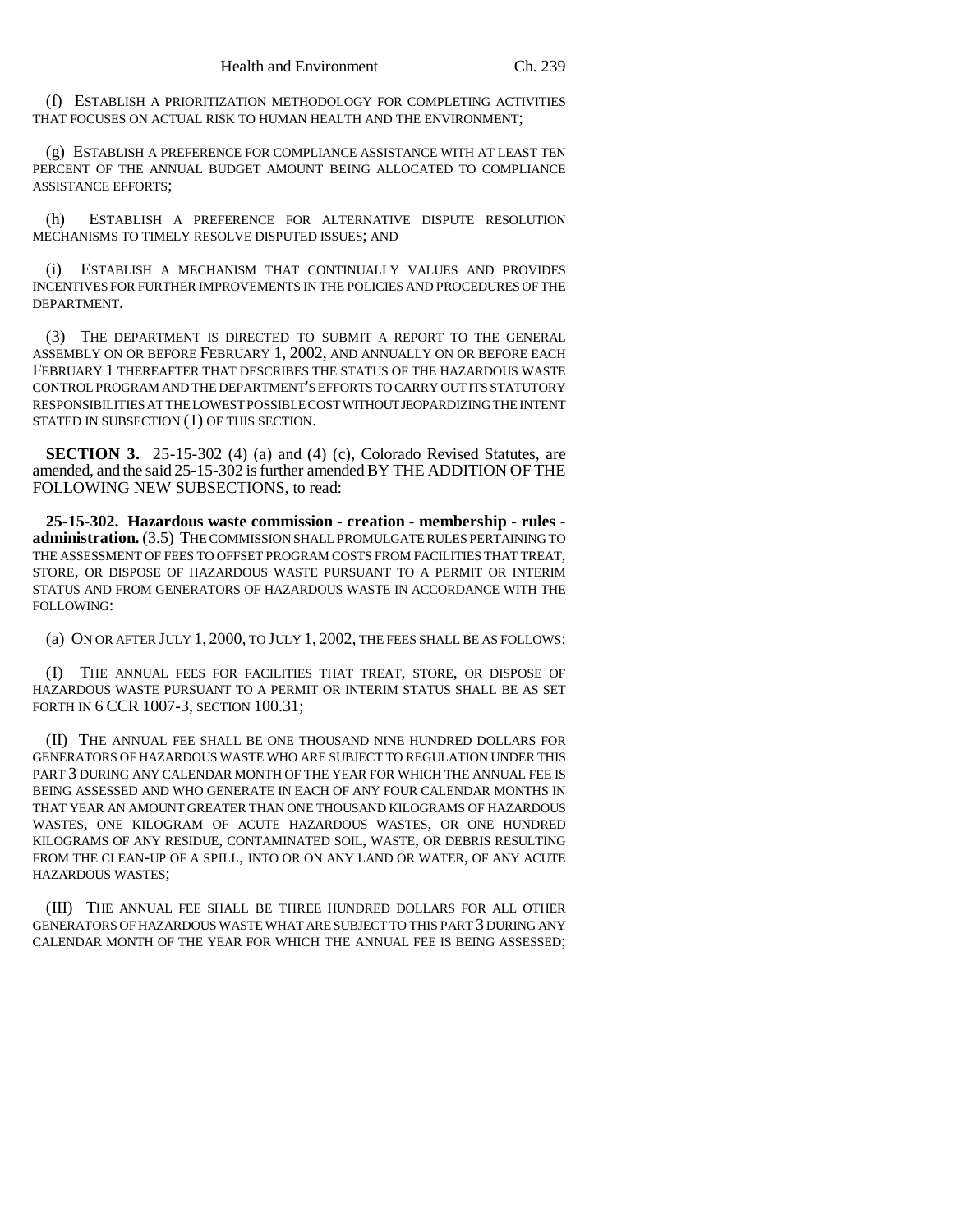(f) ESTABLISH A PRIORITIZATION METHODOLOGY FOR COMPLETING ACTIVITIES THAT FOCUSES ON ACTUAL RISK TO HUMAN HEALTH AND THE ENVIRONMENT;

(g) ESTABLISH A PREFERENCE FOR COMPLIANCE ASSISTANCE WITH AT LEAST TEN PERCENT OF THE ANNUAL BUDGET AMOUNT BEING ALLOCATED TO COMPLIANCE ASSISTANCE EFFORTS;

(h) ESTABLISH A PREFERENCE FOR ALTERNATIVE DISPUTE RESOLUTION MECHANISMS TO TIMELY RESOLVE DISPUTED ISSUES; AND

(i) ESTABLISH A MECHANISM THAT CONTINUALLY VALUES AND PROVIDES INCENTIVES FOR FURTHER IMPROVEMENTS IN THE POLICIES AND PROCEDURES OF THE DEPARTMENT.

(3) THE DEPARTMENT IS DIRECTED TO SUBMIT A REPORT TO THE GENERAL ASSEMBLY ON OR BEFORE FEBRUARY 1, 2002, AND ANNUALLY ON OR BEFORE EACH FEBRUARY 1 THEREAFTER THAT DESCRIBES THE STATUS OF THE HAZARDOUS WASTE CONTROL PROGRAM AND THE DEPARTMENT'S EFFORTS TO CARRY OUT ITS STATUTORY RESPONSIBILITIES AT THE LOWEST POSSIBLE COST WITHOUT JEOPARDIZING THE INTENT STATED IN SUBSECTION (1) OF THIS SECTION.

**SECTION 3.** 25-15-302 (4) (a) and (4) (c), Colorado Revised Statutes, are amended, and the said 25-15-302 is further amended BY THE ADDITION OF THE FOLLOWING NEW SUBSECTIONS, to read:

**25-15-302. Hazardous waste commission - creation - membership - rules administration.** (3.5) THE COMMISSION SHALL PROMULGATE RULES PERTAINING TO THE ASSESSMENT OF FEES TO OFFSET PROGRAM COSTS FROM FACILITIES THAT TREAT, STORE, OR DISPOSE OF HAZARDOUS WASTE PURSUANT TO A PERMIT OR INTERIM STATUS AND FROM GENERATORS OF HAZARDOUS WASTE IN ACCORDANCE WITH THE FOLLOWING:

(a) ON OR AFTER JULY 1, 2000, TO JULY 1, 2002, THE FEES SHALL BE AS FOLLOWS:

(I) THE ANNUAL FEES FOR FACILITIES THAT TREAT, STORE, OR DISPOSE OF HAZARDOUS WASTE PURSUANT TO A PERMIT OR INTERIM STATUS SHALL BE AS SET FORTH IN 6 CCR 1007-3, SECTION 100.31;

(II) THE ANNUAL FEE SHALL BE ONE THOUSAND NINE HUNDRED DOLLARS FOR GENERATORS OF HAZARDOUS WASTE WHO ARE SUBJECT TO REGULATION UNDER THIS PART 3 DURING ANY CALENDAR MONTH OF THE YEAR FOR WHICH THE ANNUAL FEE IS BEING ASSESSED AND WHO GENERATE IN EACH OF ANY FOUR CALENDAR MONTHS IN THAT YEAR AN AMOUNT GREATER THAN ONE THOUSAND KILOGRAMS OF HAZARDOUS WASTES, ONE KILOGRAM OF ACUTE HAZARDOUS WASTES, OR ONE HUNDRED KILOGRAMS OF ANY RESIDUE, CONTAMINATED SOIL, WASTE, OR DEBRIS RESULTING FROM THE CLEAN-UP OF A SPILL, INTO OR ON ANY LAND OR WATER, OF ANY ACUTE HAZARDOUS WASTES;

(III) THE ANNUAL FEE SHALL BE THREE HUNDRED DOLLARS FOR ALL OTHER GENERATORS OF HAZARDOUS WASTE WHAT ARE SUBJECT TO THIS PART 3 DURING ANY CALENDAR MONTH OF THE YEAR FOR WHICH THE ANNUAL FEE IS BEING ASSESSED;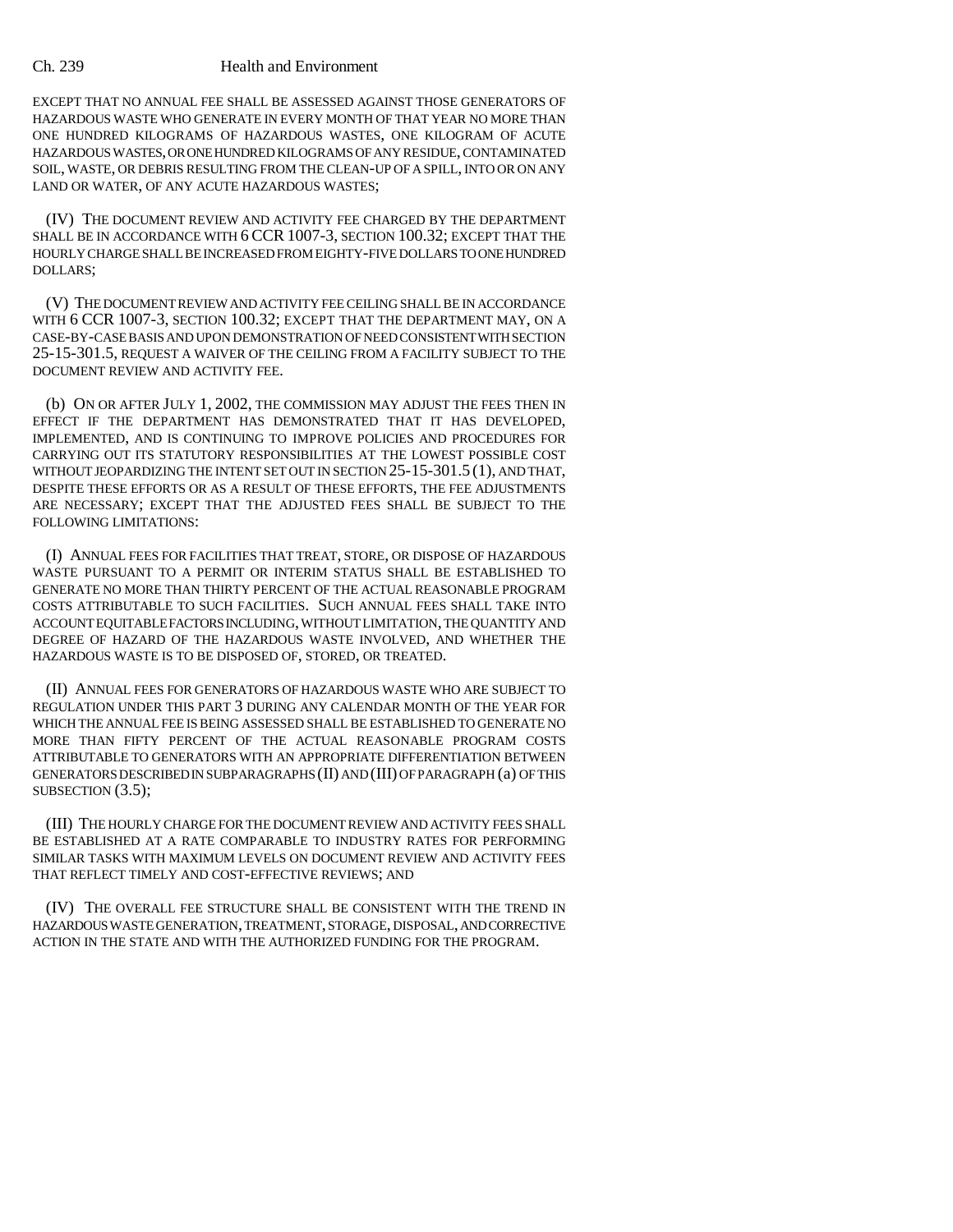## Ch. 239 Health and Environment

EXCEPT THAT NO ANNUAL FEE SHALL BE ASSESSED AGAINST THOSE GENERATORS OF HAZARDOUS WASTE WHO GENERATE IN EVERY MONTH OF THAT YEAR NO MORE THAN ONE HUNDRED KILOGRAMS OF HAZARDOUS WASTES, ONE KILOGRAM OF ACUTE HAZARDOUS WASTES, OR ONE HUNDRED KILOGRAMS OF ANY RESIDUE, CONTAMINATED SOIL, WASTE, OR DEBRIS RESULTING FROM THE CLEAN-UP OF A SPILL, INTO OR ON ANY LAND OR WATER, OF ANY ACUTE HAZARDOUS WASTES;

(IV) THE DOCUMENT REVIEW AND ACTIVITY FEE CHARGED BY THE DEPARTMENT SHALL BE IN ACCORDANCE WITH 6 CCR 1007-3, SECTION 100.32; EXCEPT THAT THE HOURLY CHARGE SHALL BE INCREASED FROM EIGHTY-FIVE DOLLARS TO ONE HUNDRED DOLLARS;

(V) THE DOCUMENT REVIEW AND ACTIVITY FEE CEILING SHALL BE IN ACCORDANCE WITH 6 CCR 1007-3, SECTION 100.32; EXCEPT THAT THE DEPARTMENT MAY, ON A CASE-BY-CASE BASIS AND UPON DEMONSTRATION OF NEED CONSISTENT WITH SECTION 25-15-301.5, REQUEST A WAIVER OF THE CEILING FROM A FACILITY SUBJECT TO THE DOCUMENT REVIEW AND ACTIVITY FEE.

(b) ON OR AFTER JULY 1, 2002, THE COMMISSION MAY ADJUST THE FEES THEN IN EFFECT IF THE DEPARTMENT HAS DEMONSTRATED THAT IT HAS DEVELOPED, IMPLEMENTED, AND IS CONTINUING TO IMPROVE POLICIES AND PROCEDURES FOR CARRYING OUT ITS STATUTORY RESPONSIBILITIES AT THE LOWEST POSSIBLE COST WITHOUT JEOPARDIZING THE INTENT SET OUT IN SECTION 25-15-301.5 (1), AND THAT, DESPITE THESE EFFORTS OR AS A RESULT OF THESE EFFORTS, THE FEE ADJUSTMENTS ARE NECESSARY; EXCEPT THAT THE ADJUSTED FEES SHALL BE SUBJECT TO THE FOLLOWING LIMITATIONS:

(I) ANNUAL FEES FOR FACILITIES THAT TREAT, STORE, OR DISPOSE OF HAZARDOUS WASTE PURSUANT TO A PERMIT OR INTERIM STATUS SHALL BE ESTABLISHED TO GENERATE NO MORE THAN THIRTY PERCENT OF THE ACTUAL REASONABLE PROGRAM COSTS ATTRIBUTABLE TO SUCH FACILITIES. SUCH ANNUAL FEES SHALL TAKE INTO ACCOUNT EQUITABLE FACTORS INCLUDING, WITHOUT LIMITATION, THE QUANTITY AND DEGREE OF HAZARD OF THE HAZARDOUS WASTE INVOLVED, AND WHETHER THE HAZARDOUS WASTE IS TO BE DISPOSED OF, STORED, OR TREATED.

(II) ANNUAL FEES FOR GENERATORS OF HAZARDOUS WASTE WHO ARE SUBJECT TO REGULATION UNDER THIS PART 3 DURING ANY CALENDAR MONTH OF THE YEAR FOR WHICH THE ANNUAL FEE IS BEING ASSESSED SHALL BE ESTABLISHED TO GENERATE NO MORE THAN FIFTY PERCENT OF THE ACTUAL REASONABLE PROGRAM COSTS ATTRIBUTABLE TO GENERATORS WITH AN APPROPRIATE DIFFERENTIATION BETWEEN GENERATORS DESCRIBED IN SUBPARAGRAPHS (II) AND (III) OF PARAGRAPH (a) OF THIS SUBSECTION (3.5);

(III) THE HOURLY CHARGE FOR THE DOCUMENT REVIEW AND ACTIVITY FEES SHALL BE ESTABLISHED AT A RATE COMPARABLE TO INDUSTRY RATES FOR PERFORMING SIMILAR TASKS WITH MAXIMUM LEVELS ON DOCUMENT REVIEW AND ACTIVITY FEES THAT REFLECT TIMELY AND COST-EFFECTIVE REVIEWS; AND

(IV) THE OVERALL FEE STRUCTURE SHALL BE CONSISTENT WITH THE TREND IN HAZARDOUS WASTE GENERATION, TREATMENT, STORAGE, DISPOSAL, AND CORRECTIVE ACTION IN THE STATE AND WITH THE AUTHORIZED FUNDING FOR THE PROGRAM.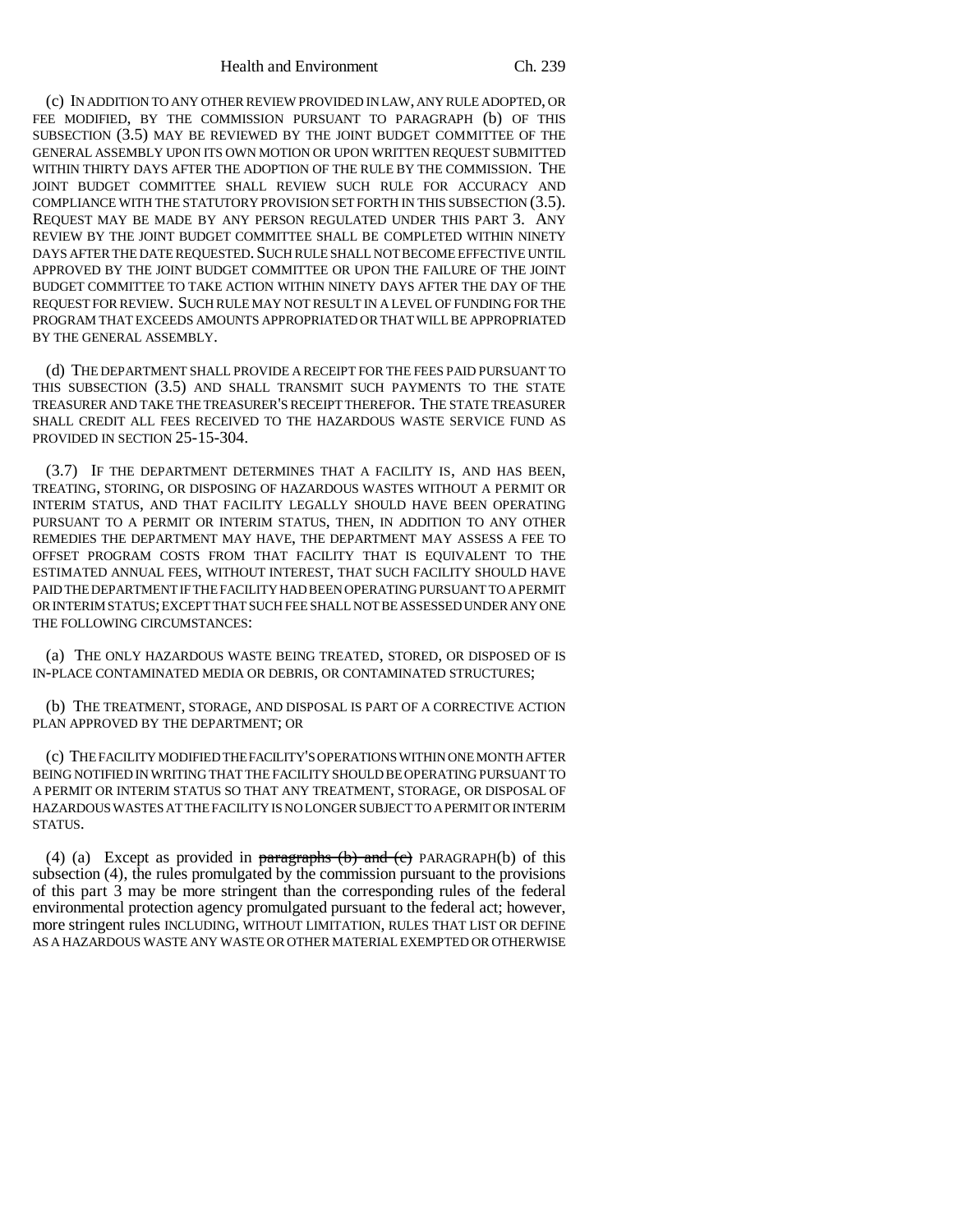(c) IN ADDITION TO ANY OTHER REVIEW PROVIDED IN LAW, ANY RULE ADOPTED, OR FEE MODIFIED, BY THE COMMISSION PURSUANT TO PARAGRAPH (b) OF THIS SUBSECTION (3.5) MAY BE REVIEWED BY THE JOINT BUDGET COMMITTEE OF THE GENERAL ASSEMBLY UPON ITS OWN MOTION OR UPON WRITTEN REQUEST SUBMITTED WITHIN THIRTY DAYS AFTER THE ADOPTION OF THE RULE BY THE COMMISSION. THE JOINT BUDGET COMMITTEE SHALL REVIEW SUCH RULE FOR ACCURACY AND COMPLIANCE WITH THE STATUTORY PROVISION SET FORTH IN THIS SUBSECTION (3.5). REQUEST MAY BE MADE BY ANY PERSON REGULATED UNDER THIS PART 3. ANY REVIEW BY THE JOINT BUDGET COMMITTEE SHALL BE COMPLETED WITHIN NINETY DAYS AFTER THE DATE REQUESTED. SUCH RULE SHALL NOT BECOME EFFECTIVE UNTIL APPROVED BY THE JOINT BUDGET COMMITTEE OR UPON THE FAILURE OF THE JOINT BUDGET COMMITTEE TO TAKE ACTION WITHIN NINETY DAYS AFTER THE DAY OF THE REQUEST FOR REVIEW. SUCH RULE MAY NOT RESULT IN A LEVEL OF FUNDING FOR THE PROGRAM THAT EXCEEDS AMOUNTS APPROPRIATED OR THAT WILL BE APPROPRIATED BY THE GENERAL ASSEMBLY.

(d) THE DEPARTMENT SHALL PROVIDE A RECEIPT FOR THE FEES PAID PURSUANT TO THIS SUBSECTION (3.5) AND SHALL TRANSMIT SUCH PAYMENTS TO THE STATE TREASURER AND TAKE THE TREASURER'S RECEIPT THEREFOR. THE STATE TREASURER SHALL CREDIT ALL FEES RECEIVED TO THE HAZARDOUS WASTE SERVICE FUND AS PROVIDED IN SECTION 25-15-304.

(3.7) IF THE DEPARTMENT DETERMINES THAT A FACILITY IS, AND HAS BEEN, TREATING, STORING, OR DISPOSING OF HAZARDOUS WASTES WITHOUT A PERMIT OR INTERIM STATUS, AND THAT FACILITY LEGALLY SHOULD HAVE BEEN OPERATING PURSUANT TO A PERMIT OR INTERIM STATUS, THEN, IN ADDITION TO ANY OTHER REMEDIES THE DEPARTMENT MAY HAVE, THE DEPARTMENT MAY ASSESS A FEE TO OFFSET PROGRAM COSTS FROM THAT FACILITY THAT IS EQUIVALENT TO THE ESTIMATED ANNUAL FEES, WITHOUT INTEREST, THAT SUCH FACILITY SHOULD HAVE PAID THE DEPARTMENT IF THE FACILITY HAD BEEN OPERATING PURSUANT TO A PERMIT OR INTERIM STATUS; EXCEPT THAT SUCH FEE SHALL NOT BE ASSESSED UNDER ANY ONE THE FOLLOWING CIRCUMSTANCES:

(a) THE ONLY HAZARDOUS WASTE BEING TREATED, STORED, OR DISPOSED OF IS IN-PLACE CONTAMINATED MEDIA OR DEBRIS, OR CONTAMINATED STRUCTURES;

(b) THE TREATMENT, STORAGE, AND DISPOSAL IS PART OF A CORRECTIVE ACTION PLAN APPROVED BY THE DEPARTMENT; OR

(c) THE FACILITY MODIFIED THE FACILITY'S OPERATIONS WITHIN ONE MONTH AFTER BEING NOTIFIED IN WRITING THAT THE FACILITY SHOULD BE OPERATING PURSUANT TO A PERMIT OR INTERIM STATUS SO THAT ANY TREATMENT, STORAGE, OR DISPOSAL OF HAZARDOUS WASTES AT THE FACILITY IS NO LONGER SUBJECT TO A PERMIT OR INTERIM STATUS.

(4) (a) Except as provided in paragraphs  $(b)$  and  $(c)$  PARAGRAPH(b) of this subsection (4), the rules promulgated by the commission pursuant to the provisions of this part 3 may be more stringent than the corresponding rules of the federal environmental protection agency promulgated pursuant to the federal act; however, more stringent rules INCLUDING, WITHOUT LIMITATION, RULES THAT LIST OR DEFINE AS A HAZARDOUS WASTE ANY WASTE OR OTHER MATERIAL EXEMPTED OR OTHERWISE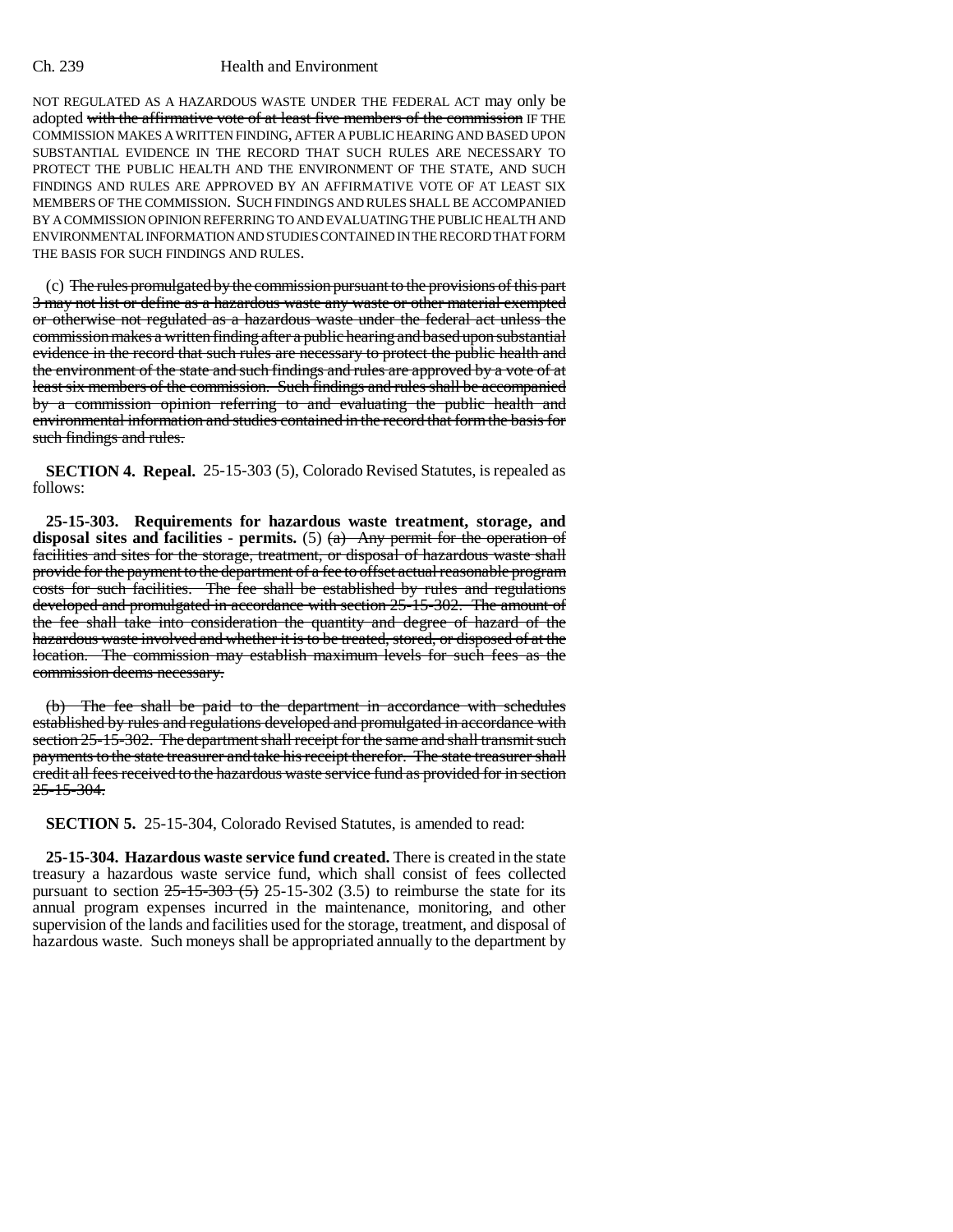## Ch. 239 Health and Environment

NOT REGULATED AS A HAZARDOUS WASTE UNDER THE FEDERAL ACT may only be adopted with the affirmative vote of at least five members of the commission IF THE COMMISSION MAKES A WRITTEN FINDING, AFTER A PUBLIC HEARING AND BASED UPON SUBSTANTIAL EVIDENCE IN THE RECORD THAT SUCH RULES ARE NECESSARY TO PROTECT THE PUBLIC HEALTH AND THE ENVIRONMENT OF THE STATE, AND SUCH FINDINGS AND RULES ARE APPROVED BY AN AFFIRMATIVE VOTE OF AT LEAST SIX MEMBERS OF THE COMMISSION. SUCH FINDINGS AND RULES SHALL BE ACCOMPANIED BY A COMMISSION OPINION REFERRING TO AND EVALUATING THE PUBLIC HEALTH AND ENVIRONMENTAL INFORMATION AND STUDIES CONTAINED IN THE RECORD THAT FORM THE BASIS FOR SUCH FINDINGS AND RULES.

(c) The rules promulgated by the commission pursuant to the provisions of this part 3 may not list or define as a hazardous waste any waste or other material exempted or otherwise not regulated as a hazardous waste under the federal act unless the commission makes a written finding after a public hearing and based upon substantial evidence in the record that such rules are necessary to protect the public health and the environment of the state and such findings and rules are approved by a vote of at least six members of the commission. Such findings and rules shall be accompanied by a commission opinion referring to and evaluating the public health and environmental information and studies contained in the record that form the basis for such findings and rules.

**SECTION 4. Repeal.** 25-15-303 (5), Colorado Revised Statutes, is repealed as follows:

**25-15-303. Requirements for hazardous waste treatment, storage, and** disposal sites and facilities - permits.  $(5)$   $(a)$  Any permit for the operation of facilities and sites for the storage, treatment, or disposal of hazardous waste shall provide for the payment to the department of a fee to offset actual reasonable program costs for such facilities. The fee shall be established by rules and regulations developed and promulgated in accordance with section 25-15-302. The amount of the fee shall take into consideration the quantity and degree of hazard of the hazardous waste involved and whether it is to be treated, stored, or disposed of at the location. The commission may establish maximum levels for such fees as the commission deems necessary.

(b) The fee shall be paid to the department in accordance with schedules established by rules and regulations developed and promulgated in accordance with section 25-15-302. The department shall receipt for the same and shall transmit such payments to the state treasurer and take his receipt therefor. The state treasurer shall credit all fees received to the hazardous waste service fund as provided for in section  $25 - 15 - 304$ .

**SECTION 5.** 25-15-304, Colorado Revised Statutes, is amended to read:

**25-15-304. Hazardous waste service fund created.** There is created in the state treasury a hazardous waste service fund, which shall consist of fees collected pursuant to section  $25-15-303$  (5) 25-15-302 (3.5) to reimburse the state for its annual program expenses incurred in the maintenance, monitoring, and other supervision of the lands and facilities used for the storage, treatment, and disposal of hazardous waste. Such moneys shall be appropriated annually to the department by